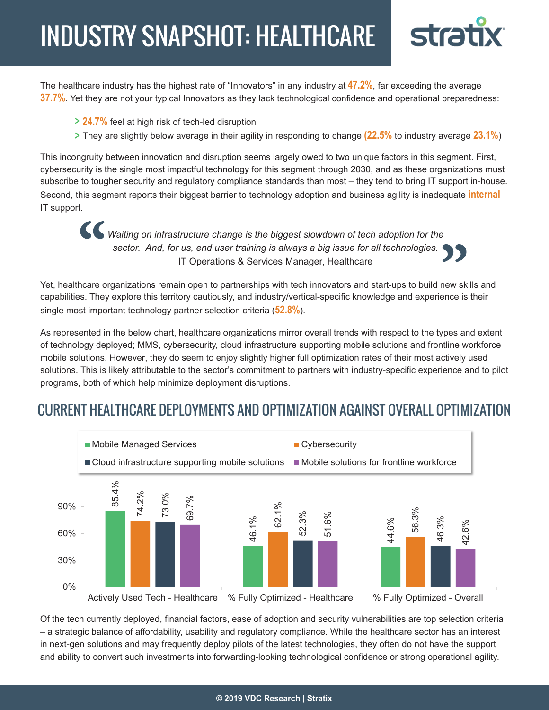# INDUSTRY SNAPSHOT: HEALTHCARE



The healthcare industry has the highest rate of "Innovators" in any industry at **47.2%**, far exceeding the average **37.7%**. Yet they are not your typical Innovators as they lack technological confidence and operational preparedness:

- **24.7%** feel at high risk of tech-led disruption
- They are slightly below average in their agility in responding to change **(22.5%** to industry average **23.1%**)

This incongruity between innovation and disruption seems largely owed to two unique factors in this segment. First, cybersecurity is the single most impactful technology for this segment through 2030, and as these organizations must subscribe to tougher security and regulatory compliance standards than most – they tend to bring IT support in-house. Second, this segment reports their biggest barrier to technology adoption and business agility is inadequate **internal** IT support.

*Waiting on infrastructure change is the biggest slowdown of tech adoption for the sector. And, for us, end user training is always a big issue for all technologies.* IT Operations & Services Manager, Healthcare

Yet, healthcare organizations remain open to partnerships with tech innovators and start-ups to build new skills and capabilities. They explore this territory cautiously, and industry/vertical-specific knowledge and experience is their single most important technology partner selection criteria (**52.8%**).

As represented in the below chart, healthcare organizations mirror overall trends with respect to the types and extent of technology deployed; MMS, cybersecurity, cloud infrastructure supporting mobile solutions and frontline workforce mobile solutions. However, they do seem to enjoy slightly higher full optimization rates of their most actively used solutions. This is likely attributable to the sector's commitment to partners with industry-specific experience and to pilot programs, both of which help minimize deployment disruptions.

## CURRENT HEALTHCARE DEPLOYMENTS AND OPTIMIZATION AGAINST OVERALL OPTIMIZATION



Of the tech currently deployed, financial factors, ease of adoption and security vulnerabilities are top selection criteria – a strategic balance of affordability, usability and regulatory compliance. While the healthcare sector has an interest in next-gen solutions and may frequently deploy pilots of the latest technologies, they often do not have the support and ability to convert such investments into forwarding-looking technological confidence or strong operational agility.